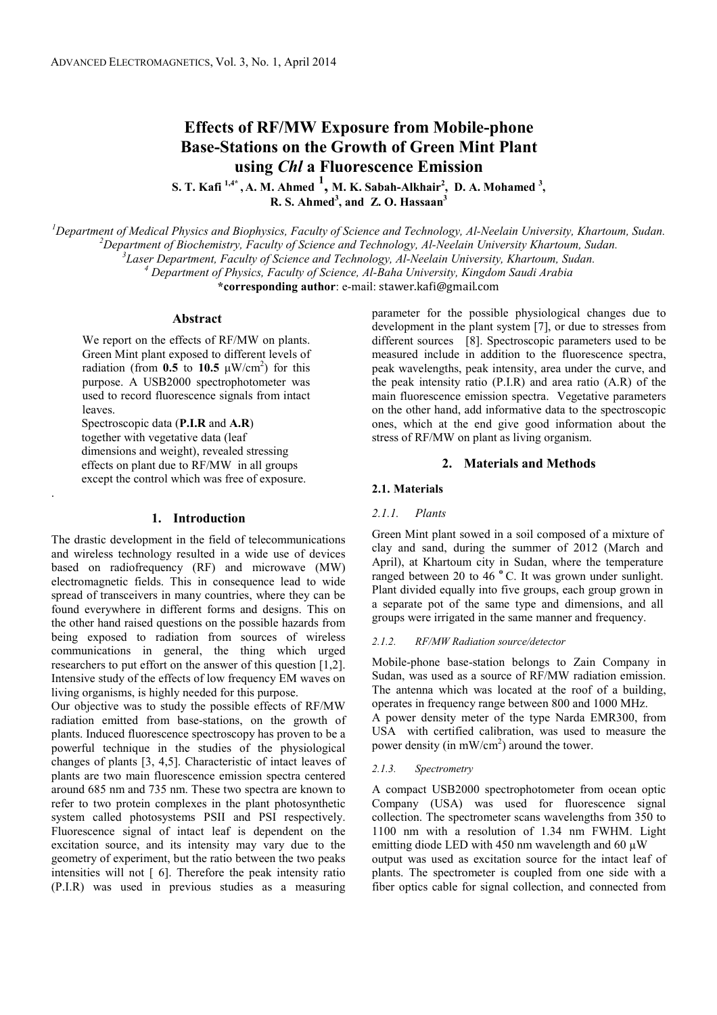# **Effects of RF/MW Exposure from Mobile-phone Base-Stations on the Growth of Green Mint Plant using** *Chl* **a Fluorescence Emission**

**S. T. Kafi 1,4\* , A. M. Ahmed <sup>1</sup> , M. K. Sabah-Alkhair<sup>2</sup> , D. A. Mohamed <sup>3</sup> , R. S. Ahmed<sup>3</sup> , and Z. O. Hassaan<sup>3</sup>**

*<sup>1</sup>Department of Medical Physics and Biophysics, Faculty of Science and Technology, Al-Neelain University, Khartoum, Sudan.* 

*<sup>2</sup>Department of Biochemistry, Faculty of Science and Technology, Al-Neelain University Khartoum, Sudan.* 

*3 Laser Department, Faculty of Science and Technology, Al-Neelain University, Khartoum, Sudan.* 

*4 Department of Physics, Faculty of Science, Al-Baha University, Kingdom Saudi Arabia*

**\*corresponding author**: e-mail: stawer.kafi@gmail.com

### **Abstract**

We report on the effects of RF/MW on plants. Green Mint plant exposed to different levels of radiation (from  $0.5$  to  $10.5 \mu W/cm^2$ ) for this purpose. A USB2000 spectrophotometer was used to record fluorescence signals from intact leaves.

 Spectroscopic data (**P.I.R** and **A.R**) together with vegetative data (leaf dimensions and weight), revealed stressing effects on plant due to RF/MW in all groups except the control which was free of exposure.

.

# **1. Introduction**

The drastic development in the field of telecommunications and wireless technology resulted in a wide use of devices based on radiofrequency (RF) and microwave (MW) electromagnetic fields. This in consequence lead to wide spread of transceivers in many countries, where they can be found everywhere in different forms and designs. This on the other hand raised questions on the possible hazards from being exposed to radiation from sources of wireless communications in general, the thing which urged researchers to put effort on the answer of this question [1,2]. Intensive study of the effects of low frequency EM waves on living organisms, is highly needed for this purpose.

Our objective was to study the possible effects of RF/MW radiation emitted from base-stations, on the growth of plants. Induced fluorescence spectroscopy has proven to be a powerful technique in the studies of the physiological changes of plants [3, 4,5]. Characteristic of intact leaves of plants are two main fluorescence emission spectra centered around 685 nm and 735 nm. These two spectra are known to refer to two protein complexes in the plant photosynthetic system called photosystems PSII and PSI respectively. Fluorescence signal of intact leaf is dependent on the excitation source, and its intensity may vary due to the geometry of experiment, but the ratio between the two peaks intensities will not [ 6]. Therefore the peak intensity ratio (P.I.R) was used in previous studies as a measuring

parameter for the possible physiological changes due to development in the plant system [7], or due to stresses from different sources [8]. Spectroscopic parameters used to be measured include in addition to the fluorescence spectra, peak wavelengths, peak intensity, area under the curve, and the peak intensity ratio (P.I.R) and area ratio (A.R) of the main fluorescence emission spectra. Vegetative parameters on the other hand, add informative data to the spectroscopic ones, which at the end give good information about the stress of RF/MW on plant as living organism.

### **2. Materials and Methods**

#### **2.1. Materials**

#### *2.1.1. Plants*

Green Mint plant sowed in a soil composed of a mixture of clay and sand, during the summer of 2012 (March and April), at Khartoum city in Sudan, where the temperature ranged between 20 to 46 °C. It was grown under sunlight. Plant divided equally into five groups, each group grown in a separate pot of the same type and dimensions, and all groups were irrigated in the same manner and frequency.

#### *2.1.2. RF/MW Radiation source/detector*

Mobile-phone base-station belongs to Zain Company in Sudan, was used as a source of RF/MW radiation emission. The antenna which was located at the roof of a building, operates in frequency range between 800 and 1000 MHz.

A power density meter of the type Narda EMR300, from USA with certified calibration, was used to measure the power density (in mW/cm<sup>2</sup>) around the tower.

#### *2.1.3. Spectrometry*

A compact USB2000 spectrophotometer from ocean optic Company (USA) was used for fluorescence signal collection. The spectrometer scans wavelengths from 350 to 1100 nm with a resolution of 1.34 nm FWHM. Light emitting diode LED with 450 nm wavelength and 60  $\mu$ W output was used as excitation source for the intact leaf of plants. The spectrometer is coupled from one side with a fiber optics cable for signal collection, and connected from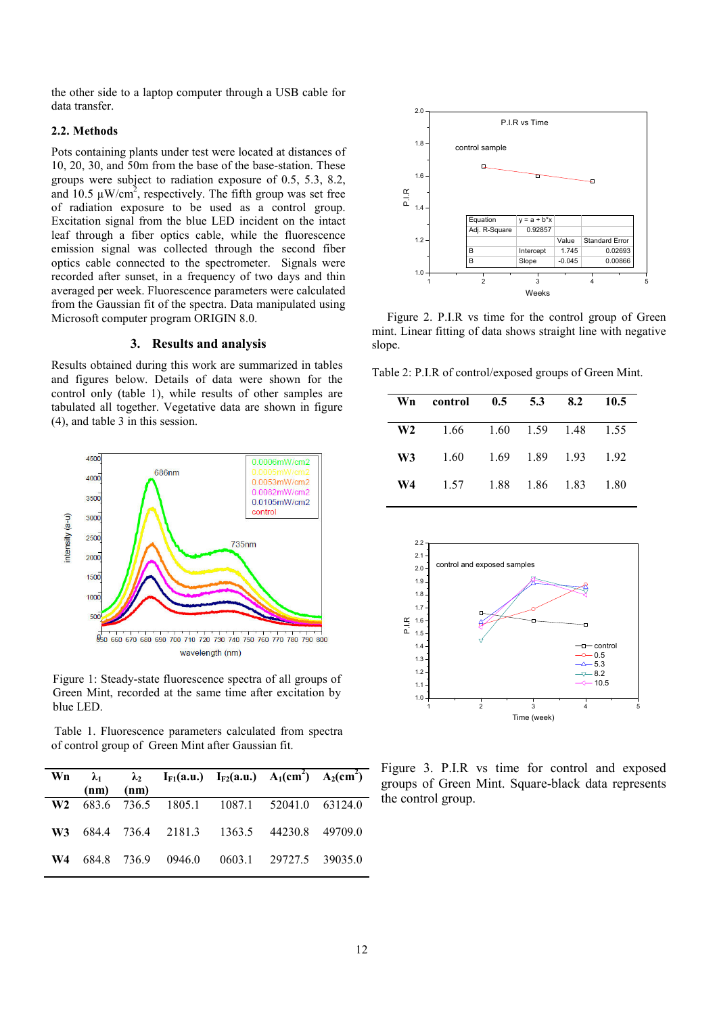the other side to a laptop computer through a USB cable for data transfer.

# **2.2. Methods**

Pots containing plants under test were located at distances of 10, 20, 30, and 50m from the base of the base-station. These groups were subject to radiation exposure of 0.5, 5.3, 8.2, and  $10.5 \mu W/cm^2$ , respectively. The fifth group was set free of radiation exposure to be used as a control group. Excitation signal from the blue LED incident on the intact leaf through a fiber optics cable, while the fluorescence emission signal was collected through the second fiber optics cable connected to the spectrometer. Signals were recorded after sunset, in a frequency of two days and thin averaged per week. Fluorescence parameters were calculated from the Gaussian fit of the spectra. Data manipulated using Microsoft computer program ORIGIN 8.0.

### **3. Results and analysis**

Results obtained during this work are summarized in tables and figures below. Details of data were shown for the control only (table 1), while results of other samples are tabulated all together. Vegetative data are shown in figure (4), and table 3 in this session.



Figure 1: Steady-state fluorescence spectra of all groups of Green Mint, recorded at the same time after excitation by blue LED.

 Table 1. Fluorescence parameters calculated from spectra of control group of Green Mint after Gaussian fit.

|  | $(nm)$ $(nm)$ | Wn $\lambda_1$ $\lambda_2$ I <sub>F1</sub> (a.u.) I <sub>F2</sub> (a.u.) A <sub>1</sub> (cm <sup>2</sup> ) A <sub>2</sub> (cm <sup>2</sup> ) |  |  |
|--|---------------|----------------------------------------------------------------------------------------------------------------------------------------------|--|--|
|  |               | W2 683.6 736.5 1805.1 1087.1 52041.0 63124.0                                                                                                 |  |  |
|  |               | W3 684.4 736.4 2181.3 1363.5 44230.8 49709.0                                                                                                 |  |  |
|  |               | W4 684.8 736.9 0946.0 0603.1 29727.5 39035.0                                                                                                 |  |  |



 Figure 2. P.I.R vs time for the control group of Green mint. Linear fitting of data shows straight line with negative slope.

Table 2: P.I.R of control/exposed groups of Green Mint.

| Wn | $control$ 0.5 5.3 |                | 8.2                 | 10.5 |
|----|-------------------|----------------|---------------------|------|
| W2 | 1.66              |                | 1.60 1.59 1.48 1.55 |      |
| W3 | 1.60              | 1.69 1.89 1.93 |                     | 192  |
| W4 | 1.57              | 1.88 1.86 1.83 |                     | 1.80 |
|    |                   |                |                     |      |



Figure 3. P.I.R vs time for control and exposed groups of Green Mint. Square-black data represents the control group.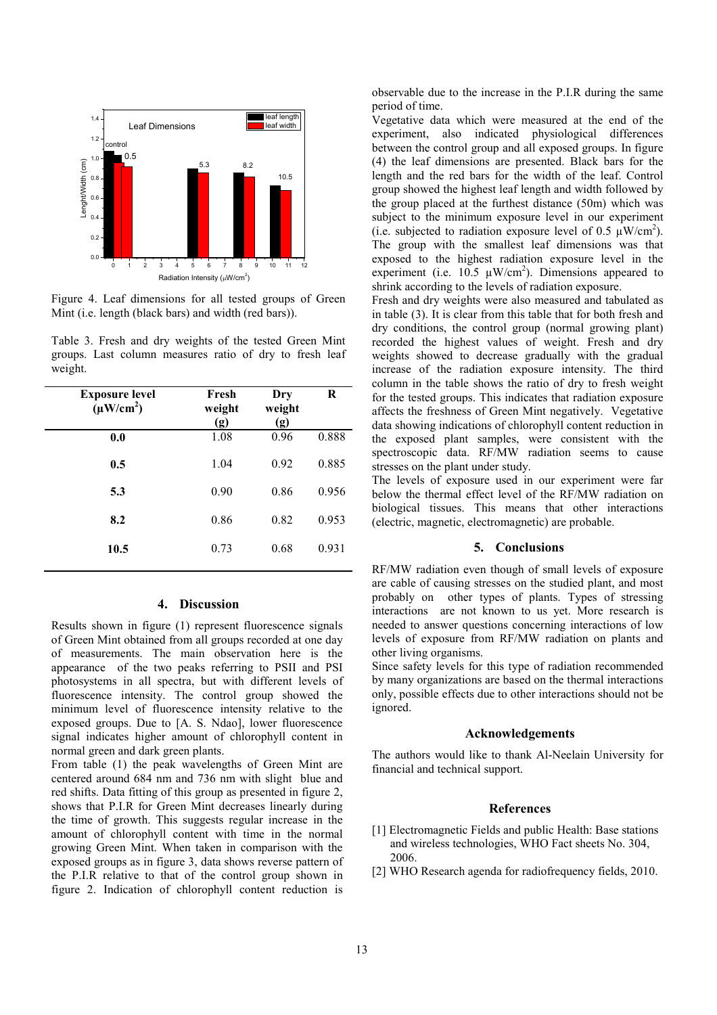

Figure 4. Leaf dimensions for all tested groups of Green Mint (i.e. length (black bars) and width (red bars)).

Table 3. Fresh and dry weights of the tested Green Mint groups. Last column measures ratio of dry to fresh leaf weight.

| <b>Exposure level</b><br>$(\mu W/cm^2)$ | Fresh<br>weight<br>(g) | Dry<br>weight<br>(g) | R     |
|-----------------------------------------|------------------------|----------------------|-------|
| 0.0                                     | 1.08                   | 0.96                 | 0.888 |
| 0.5                                     | 1.04                   | 0.92                 | 0.885 |
| 5.3                                     | 0.90                   | 0.86                 | 0.956 |
| 8.2                                     | 0.86                   | 0.82                 | 0.953 |
| 10.5                                    | 0.73                   | 0.68                 | 0.931 |
|                                         |                        |                      |       |

# **4. Discussion**

Results shown in figure (1) represent fluorescence signals of Green Mint obtained from all groups recorded at one day of measurements. The main observation here is the appearance of the two peaks referring to PSII and PSI photosystems in all spectra, but with different levels of fluorescence intensity. The control group showed the minimum level of fluorescence intensity relative to the exposed groups. Due to [A. S. Ndao], lower fluorescence signal indicates higher amount of chlorophyll content in normal green and dark green plants.

From table (1) the peak wavelengths of Green Mint are centered around 684 nm and 736 nm with slight blue and red shifts. Data fitting of this group as presented in figure 2, shows that P.I.R for Green Mint decreases linearly during the time of growth. This suggests regular increase in the amount of chlorophyll content with time in the normal growing Green Mint. When taken in comparison with the exposed groups as in figure 3, data shows reverse pattern of the P.I.R relative to that of the control group shown in figure 2. Indication of chlorophyll content reduction is

observable due to the increase in the P.I.R during the same period of time.

Vegetative data which were measured at the end of the experiment, also indicated physiological differences between the control group and all exposed groups. In figure (4) the leaf dimensions are presented. Black bars for the length and the red bars for the width of the leaf. Control group showed the highest leaf length and width followed by the group placed at the furthest distance (50m) which was subject to the minimum exposure level in our experiment (i.e. subjected to radiation exposure level of 0.5  $\mu$ W/cm<sup>2</sup>). The group with the smallest leaf dimensions was that exposed to the highest radiation exposure level in the experiment (i.e.  $10.5 \mu W/cm^2$ ). Dimensions appeared to shrink according to the levels of radiation exposure.

Fresh and dry weights were also measured and tabulated as in table (3). It is clear from this table that for both fresh and dry conditions, the control group (normal growing plant) recorded the highest values of weight. Fresh and dry weights showed to decrease gradually with the gradual increase of the radiation exposure intensity. The third column in the table shows the ratio of dry to fresh weight for the tested groups. This indicates that radiation exposure affects the freshness of Green Mint negatively. Vegetative data showing indications of chlorophyll content reduction in the exposed plant samples, were consistent with the spectroscopic data. RF/MW radiation seems to cause stresses on the plant under study.

The levels of exposure used in our experiment were far below the thermal effect level of the RF/MW radiation on biological tissues. This means that other interactions (electric, magnetic, electromagnetic) are probable.

# **5. Conclusions**

RF/MW radiation even though of small levels of exposure are cable of causing stresses on the studied plant, and most probably on other types of plants. Types of stressing interactions are not known to us yet. More research is needed to answer questions concerning interactions of low levels of exposure from RF/MW radiation on plants and other living organisms.

Since safety levels for this type of radiation recommended by many organizations are based on the thermal interactions only, possible effects due to other interactions should not be ignored.

### **Acknowledgements**

The authors would like to thank Al-Neelain University for financial and technical support.

#### **References**

- [1] Electromagnetic Fields and public Health: Base stations and wireless technologies, WHO Fact sheets No. 304, 2006.
- [2] WHO Research agenda for radiofrequency fields, 2010.